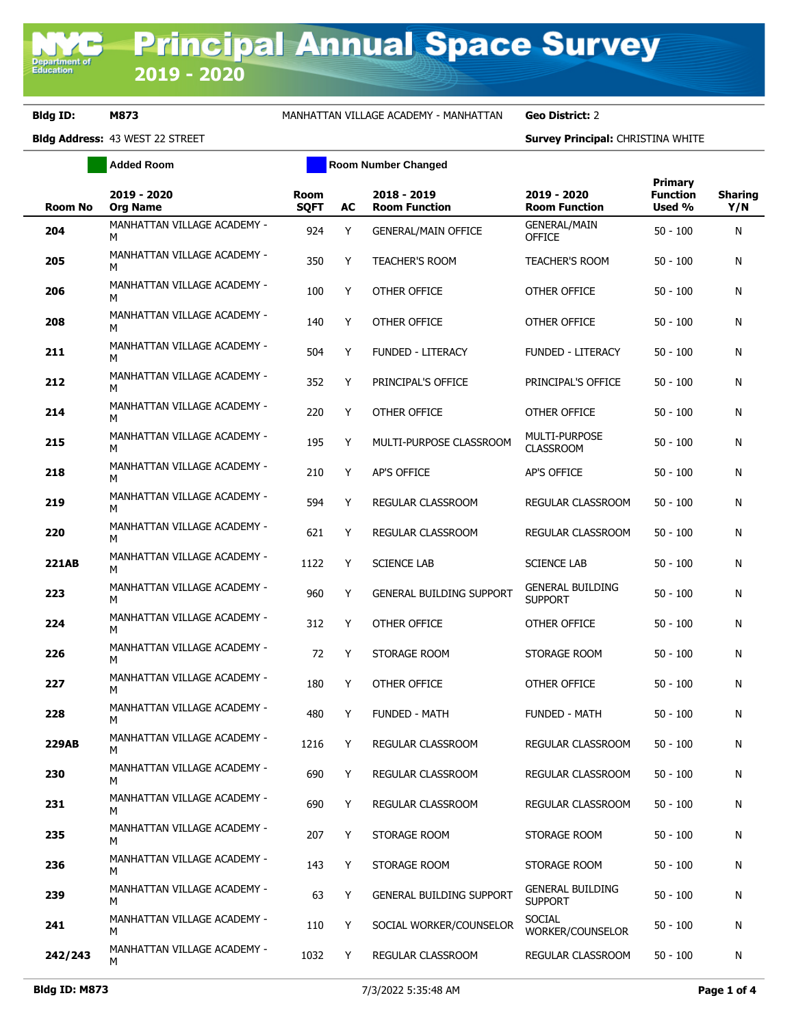**Department of**<br>Education

**Bldg ID: M873** MANHATTAN VILLAGE ACADEMY - MANHATTAN **Geo District:** 2

**Bldg Address:** 43 WEST 22 STREET **Survey Principal:** CHRISTINA WHITE

|                | <b>Added Room</b>                | <b>Room Number Changed</b> |    |                                     |                                           |                                             |                       |
|----------------|----------------------------------|----------------------------|----|-------------------------------------|-------------------------------------------|---------------------------------------------|-----------------------|
| <b>Room No</b> | 2019 - 2020<br><b>Org Name</b>   | <b>Room</b><br><b>SQFT</b> | AC | 2018 - 2019<br><b>Room Function</b> | 2019 - 2020<br><b>Room Function</b>       | <b>Primary</b><br><b>Function</b><br>Used % | <b>Sharing</b><br>Y/N |
| 204            | MANHATTAN VILLAGE ACADEMY -<br>м | 924                        | Y  | <b>GENERAL/MAIN OFFICE</b>          | <b>GENERAL/MAIN</b><br><b>OFFICE</b>      | $50 - 100$                                  | N                     |
| 205            | MANHATTAN VILLAGE ACADEMY -<br>М | 350                        | Y  | <b>TEACHER'S ROOM</b>               | <b>TEACHER'S ROOM</b>                     | $50 - 100$                                  | N                     |
| 206            | MANHATTAN VILLAGE ACADEMY -<br>м | 100                        | Y  | <b>OTHER OFFICE</b>                 | OTHER OFFICE                              | $50 - 100$                                  | N                     |
| 208            | MANHATTAN VILLAGE ACADEMY -<br>М | 140                        | Y  | OTHER OFFICE                        | OTHER OFFICE                              | $50 - 100$                                  | N                     |
| 211            | MANHATTAN VILLAGE ACADEMY -<br>M | 504                        | Y  | <b>FUNDED - LITERACY</b>            | <b>FUNDED - LITERACY</b>                  | $50 - 100$                                  | N                     |
| 212            | MANHATTAN VILLAGE ACADEMY -<br>M | 352                        | Y  | PRINCIPAL'S OFFICE                  | PRINCIPAL'S OFFICE                        | $50 - 100$                                  | N                     |
| 214            | MANHATTAN VILLAGE ACADEMY -<br>M | 220                        | Y  | OTHER OFFICE                        | OTHER OFFICE                              | $50 - 100$                                  | N                     |
| 215            | MANHATTAN VILLAGE ACADEMY -<br>М | 195                        | Y  | MULTI-PURPOSE CLASSROOM             | MULTI-PURPOSE<br><b>CLASSROOM</b>         | $50 - 100$                                  | N                     |
| 218            | MANHATTAN VILLAGE ACADEMY -<br>М | 210                        | Y  | AP'S OFFICE                         | AP'S OFFICE                               | $50 - 100$                                  | N                     |
| 219            | MANHATTAN VILLAGE ACADEMY -<br>М | 594                        | Y  | REGULAR CLASSROOM                   | REGULAR CLASSROOM                         | $50 - 100$                                  | N                     |
| 220            | MANHATTAN VILLAGE ACADEMY -<br>м | 621                        | Y  | REGULAR CLASSROOM                   | REGULAR CLASSROOM                         | $50 - 100$                                  | N                     |
| <b>221AB</b>   | MANHATTAN VILLAGE ACADEMY -<br>м | 1122                       | Y  | <b>SCIENCE LAB</b>                  | <b>SCIENCE LAB</b>                        | $50 - 100$                                  | N                     |
| 223            | MANHATTAN VILLAGE ACADEMY -<br>м | 960                        | Y  | <b>GENERAL BUILDING SUPPORT</b>     | <b>GENERAL BUILDING</b><br><b>SUPPORT</b> | $50 - 100$                                  | N                     |
| 224            | MANHATTAN VILLAGE ACADEMY -<br>м | 312                        | Y  | OTHER OFFICE                        | OTHER OFFICE                              | $50 - 100$                                  | N                     |
| 226            | MANHATTAN VILLAGE ACADEMY -<br>м | 72                         | Y  | STORAGE ROOM                        | STORAGE ROOM                              | $50 - 100$                                  | N                     |
| 227            | MANHATTAN VILLAGE ACADEMY -<br>м | 180                        | Y  | <b>OTHER OFFICE</b>                 | OTHER OFFICE                              | $50 - 100$                                  | N                     |
| 228            | MANHATTAN VILLAGE ACADEMY -<br>м | 480                        | Y  | <b>FUNDED - MATH</b>                | <b>FUNDED - MATH</b>                      | $50 - 100$                                  | Ν                     |
| <b>229AB</b>   | MANHATTAN VILLAGE ACADEMY -<br>м | 1216                       | Y  | REGULAR CLASSROOM                   | REGULAR CLASSROOM                         | $50 - 100$                                  | N                     |
| 230            | MANHATTAN VILLAGE ACADEMY -<br>M | 690                        | Y  | REGULAR CLASSROOM                   | REGULAR CLASSROOM                         | $50 - 100$                                  | Ν                     |
| 231            | MANHATTAN VILLAGE ACADEMY -<br>M | 690                        | Y  | REGULAR CLASSROOM                   | REGULAR CLASSROOM                         | $50 - 100$                                  | N                     |
| 235            | MANHATTAN VILLAGE ACADEMY -<br>M | 207                        | Y  | STORAGE ROOM                        | STORAGE ROOM                              | $50 - 100$                                  | N                     |
| 236            | MANHATTAN VILLAGE ACADEMY -<br>м | 143                        | Y  | STORAGE ROOM                        | STORAGE ROOM                              | $50 - 100$                                  | N                     |
| 239            | MANHATTAN VILLAGE ACADEMY -<br>M | 63                         | Y  | GENERAL BUILDING SUPPORT            | <b>GENERAL BUILDING</b><br><b>SUPPORT</b> | $50 - 100$                                  | N                     |
| 241            | MANHATTAN VILLAGE ACADEMY -<br>M | 110                        | Y  | SOCIAL WORKER/COUNSELOR             | <b>SOCIAL</b><br>WORKER/COUNSELOR         | $50 - 100$                                  | N                     |
| 242/243        | MANHATTAN VILLAGE ACADEMY -<br>M | 1032                       | Y  | REGULAR CLASSROOM                   | REGULAR CLASSROOM                         | $50 - 100$                                  | N                     |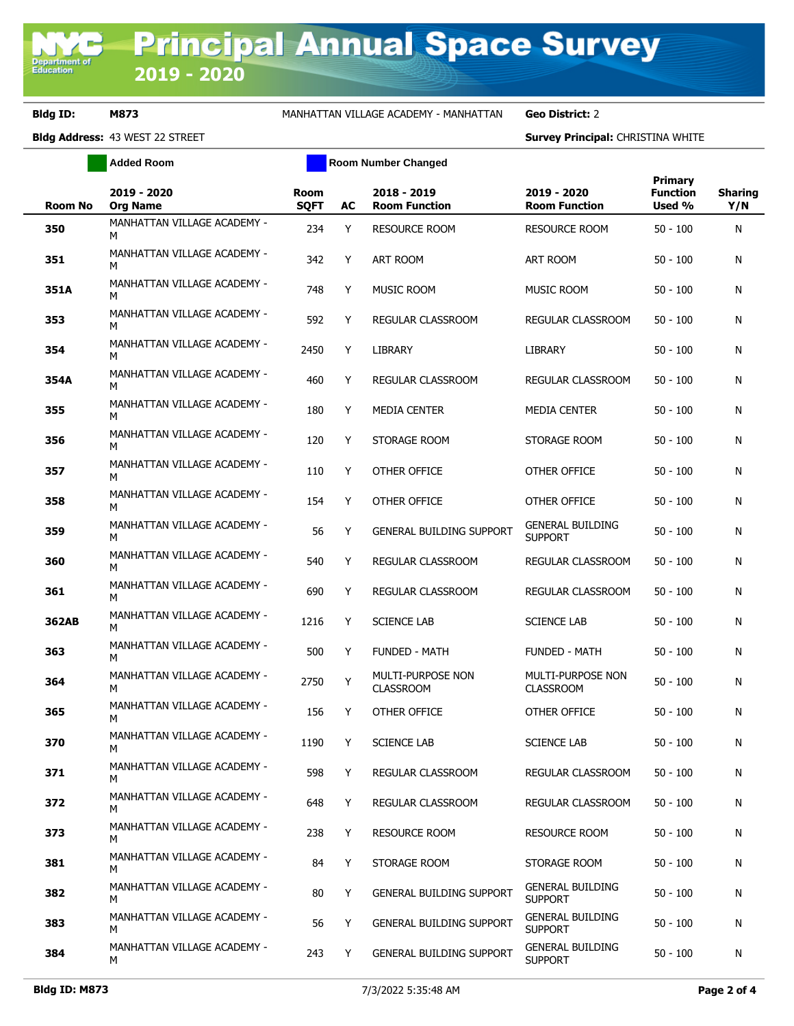**Bldg ID: M873** MANHATTAN VILLAGE ACADEMY - MANHATTAN **Geo District:** 2

**Bldg Address:** 43 WEST 22 STREET **Survey Principal:** CHRISTINA WHITE

|                | <b>Added Room</b>                |                            | <b>Room Number Changed</b> |                                       |                                              |                                      |                       |
|----------------|----------------------------------|----------------------------|----------------------------|---------------------------------------|----------------------------------------------|--------------------------------------|-----------------------|
| <b>Room No</b> | 2019 - 2020<br><b>Org Name</b>   | <b>Room</b><br><b>SQFT</b> | AC                         | 2018 - 2019<br><b>Room Function</b>   | 2019 - 2020<br><b>Room Function</b>          | Primary<br><b>Function</b><br>Used % | <b>Sharing</b><br>Y/N |
| 350            | MANHATTAN VILLAGE ACADEMY -<br>М | 234                        | Y                          | <b>RESOURCE ROOM</b>                  | <b>RESOURCE ROOM</b>                         | $50 - 100$                           | N                     |
| 351            | MANHATTAN VILLAGE ACADEMY -<br>М | 342                        | Y                          | <b>ART ROOM</b>                       | <b>ART ROOM</b>                              | $50 - 100$                           | N                     |
| 351A           | MANHATTAN VILLAGE ACADEMY -<br>М | 748                        | Y                          | MUSIC ROOM                            | <b>MUSIC ROOM</b>                            | $50 - 100$                           | N                     |
| 353            | MANHATTAN VILLAGE ACADEMY -<br>м | 592                        | Y                          | REGULAR CLASSROOM                     | REGULAR CLASSROOM                            | $50 - 100$                           | N                     |
| 354            | MANHATTAN VILLAGE ACADEMY -<br>М | 2450                       | Y                          | LIBRARY                               | LIBRARY                                      | $50 - 100$                           | N                     |
| 354A           | MANHATTAN VILLAGE ACADEMY -<br>М | 460                        | Y                          | REGULAR CLASSROOM                     | REGULAR CLASSROOM                            | $50 - 100$                           | N                     |
| 355            | MANHATTAN VILLAGE ACADEMY -<br>м | 180                        | Y                          | <b>MEDIA CENTER</b>                   | <b>MEDIA CENTER</b>                          | $50 - 100$                           | N                     |
| 356            | MANHATTAN VILLAGE ACADEMY -<br>м | 120                        | Y                          | STORAGE ROOM                          | STORAGE ROOM                                 | $50 - 100$                           | N                     |
| 357            | MANHATTAN VILLAGE ACADEMY -<br>м | 110                        | Y                          | OTHER OFFICE                          | <b>OTHER OFFICE</b>                          | $50 - 100$                           | N                     |
| 358            | MANHATTAN VILLAGE ACADEMY -<br>м | 154                        | Y                          | OTHER OFFICE                          | OTHER OFFICE                                 | $50 - 100$                           | N                     |
| 359            | MANHATTAN VILLAGE ACADEMY -<br>м | 56                         | Y                          | <b>GENERAL BUILDING SUPPORT</b>       | <b>GENERAL BUILDING</b><br><b>SUPPORT</b>    | $50 - 100$                           | N                     |
| 360            | MANHATTAN VILLAGE ACADEMY -<br>м | 540                        | Y                          | REGULAR CLASSROOM                     | REGULAR CLASSROOM                            | $50 - 100$                           | N                     |
| 361            | MANHATTAN VILLAGE ACADEMY -<br>м | 690                        | Y                          | REGULAR CLASSROOM                     | REGULAR CLASSROOM                            | $50 - 100$                           | N                     |
| 362AB          | MANHATTAN VILLAGE ACADEMY -<br>м | 1216                       | Y                          | <b>SCIENCE LAB</b>                    | <b>SCIENCE LAB</b>                           | $50 - 100$                           | N                     |
| 363            | MANHATTAN VILLAGE ACADEMY -<br>м | 500                        | Y                          | <b>FUNDED - MATH</b>                  | <b>FUNDED - MATH</b>                         | $50 - 100$                           | N                     |
| 364            | MANHATTAN VILLAGE ACADEMY -<br>м | 2750                       | Y                          | MULTI-PURPOSE NON<br><b>CLASSROOM</b> | <b>MULTI-PURPOSE NON</b><br><b>CLASSROOM</b> | $50 - 100$                           | N                     |
| 365            | MANHATTAN VILLAGE ACADEMY -<br>М | 156                        | Y                          | OTHER OFFICE                          | <b>OTHER OFFICE</b>                          | $50 - 100$                           | N                     |
| 370            | MANHATTAN VILLAGE ACADEMY -<br>м | 1190                       | Y                          | <b>SCIENCE LAB</b>                    | <b>SCIENCE LAB</b>                           | $50 - 100$                           | N                     |
| 371            | MANHATTAN VILLAGE ACADEMY -<br>м | 598                        | Y                          | REGULAR CLASSROOM                     | REGULAR CLASSROOM                            | $50 - 100$                           | N                     |
| 372            | MANHATTAN VILLAGE ACADEMY -<br>м | 648                        | Y                          | <b>REGULAR CLASSROOM</b>              | REGULAR CLASSROOM                            | $50 - 100$                           | N                     |
| 373            | MANHATTAN VILLAGE ACADEMY -<br>м | 238                        | Y                          | <b>RESOURCE ROOM</b>                  | <b>RESOURCE ROOM</b>                         | $50 - 100$                           | N                     |
| 381            | MANHATTAN VILLAGE ACADEMY -<br>м | 84                         | Y                          | STORAGE ROOM                          | STORAGE ROOM                                 | $50 - 100$                           | N                     |
| 382            | MANHATTAN VILLAGE ACADEMY -<br>м | 80                         | Y                          | GENERAL BUILDING SUPPORT              | <b>GENERAL BUILDING</b><br><b>SUPPORT</b>    | $50 - 100$                           | N                     |
| 383            | MANHATTAN VILLAGE ACADEMY -<br>м | 56                         | Υ                          | GENERAL BUILDING SUPPORT              | <b>GENERAL BUILDING</b><br><b>SUPPORT</b>    | $50 - 100$                           | N                     |
| 384            | MANHATTAN VILLAGE ACADEMY -<br>м | 243                        | Y                          | GENERAL BUILDING SUPPORT              | <b>GENERAL BUILDING</b><br><b>SUPPORT</b>    | $50 - 100$                           | N                     |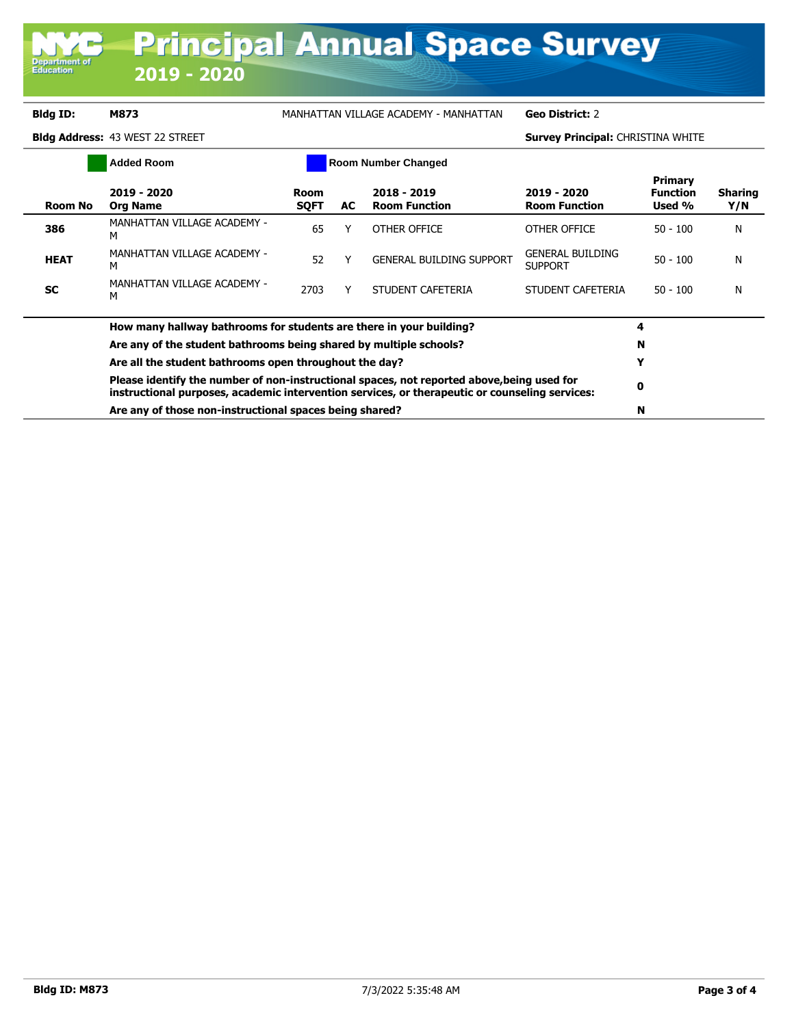**Department of**<br>Education

**Bldg ID: M873** MANHATTAN VILLAGE ACADEMY - MANHATTAN **Geo District:** 2

**Bldg Address:** 43 WEST 22 STREET **Survey Principal:** CHRISTINA WHITE

|             | <b>Added Room</b>                                                                                                                                                                                                                                                                                                            | <b>Room Number Changed</b> |     |                                     |                                     |                                             |                       |
|-------------|------------------------------------------------------------------------------------------------------------------------------------------------------------------------------------------------------------------------------------------------------------------------------------------------------------------------------|----------------------------|-----|-------------------------------------|-------------------------------------|---------------------------------------------|-----------------------|
| Room No     | 2019 - 2020<br><b>Org Name</b>                                                                                                                                                                                                                                                                                               | Room<br><b>SQFT</b>        | AC. | 2018 - 2019<br><b>Room Function</b> | 2019 - 2020<br><b>Room Function</b> | <b>Primary</b><br><b>Function</b><br>Used % | <b>Sharing</b><br>Y/N |
| 386         | MANHATTAN VILLAGE ACADEMY -<br>м                                                                                                                                                                                                                                                                                             | 65                         |     | OTHER OFFICE                        | OTHER OFFICE                        | $50 - 100$                                  | N                     |
| <b>HEAT</b> | MANHATTAN VILLAGE ACADEMY -<br>м                                                                                                                                                                                                                                                                                             | 52                         |     | <b>GENERAL BUILDING SUPPORT</b>     | GENERAL BUILDING<br><b>SUPPORT</b>  | $50 - 100$                                  | N                     |
| <b>SC</b>   | MANHATTAN VILLAGE ACADEMY -<br>М                                                                                                                                                                                                                                                                                             | 2703                       |     | STUDENT CAFETERIA                   | STUDENT CAFETERIA                   | $50 - 100$                                  | N                     |
|             | How many hallway bathrooms for students are there in your building?                                                                                                                                                                                                                                                          |                            |     |                                     |                                     |                                             |                       |
|             | Are any of the student bathrooms being shared by multiple schools?<br>Are all the student bathrooms open throughout the day?<br>Please identify the number of non-instructional spaces, not reported above, being used for<br>instructional purposes, academic intervention services, or therapeutic or counseling services: |                            |     |                                     |                                     | N                                           |                       |
|             |                                                                                                                                                                                                                                                                                                                              |                            |     |                                     |                                     | Y                                           |                       |
|             |                                                                                                                                                                                                                                                                                                                              |                            |     |                                     |                                     | 0                                           |                       |
|             | Are any of those non-instructional spaces being shared?                                                                                                                                                                                                                                                                      |                            |     |                                     |                                     | N                                           |                       |